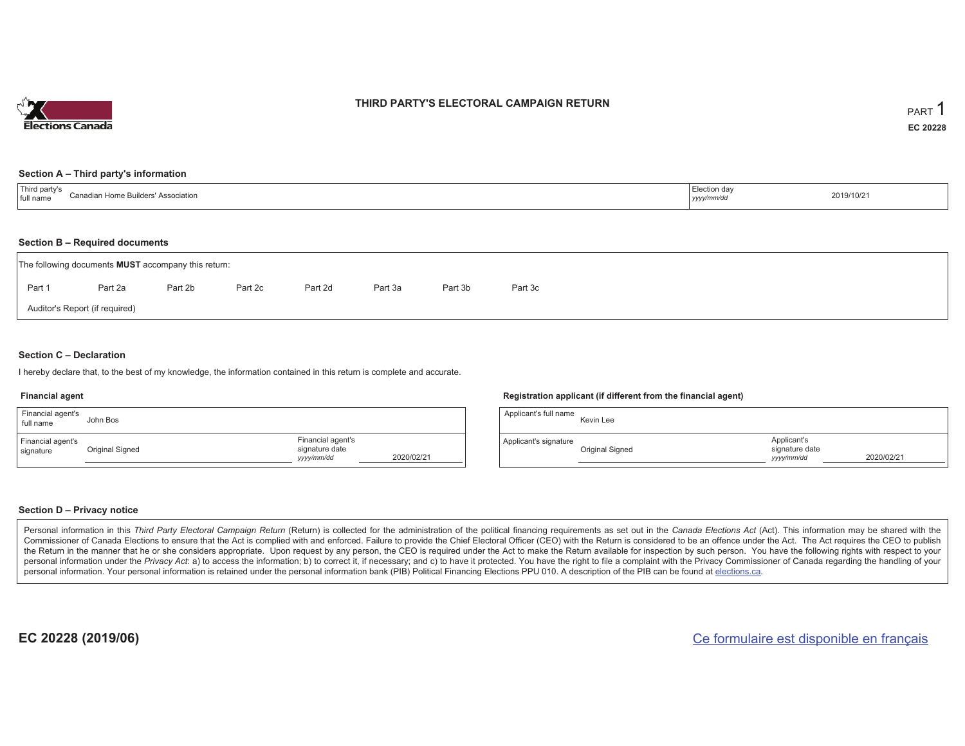

### **THIRD PARTY'S ELECTORAL CAMPAIGN RETURN**

#### **Section A – Third party's information**

| Third party's<br>`onodior<br>: Association<br>ull namı<br>anayan nunc Dunyalor | Election day<br>.<br>үууу/ | 2019/10/21 |
|--------------------------------------------------------------------------------|----------------------------|------------|
|--------------------------------------------------------------------------------|----------------------------|------------|

#### **Section B – Required documents**

| The following documents <b>MUST</b> accompany this return: |                                |         |         |         |         |         |         |  |  |  |  |  |  |
|------------------------------------------------------------|--------------------------------|---------|---------|---------|---------|---------|---------|--|--|--|--|--|--|
| Part 1                                                     | Part 2a                        | Part 2b | Part 2c | Part 2d | Part 3a | Part 3b | Part 3c |  |  |  |  |  |  |
|                                                            | Auditor's Report (if required) |         |         |         |         |         |         |  |  |  |  |  |  |

### **Section C – Declaration**

I hereby declare that, to the best of my knowledge, the information contained in this return is complete and accurate.

#### **Financial agent**

| Financial agent's<br>full name | John Bos        |                                                   |            |
|--------------------------------|-----------------|---------------------------------------------------|------------|
| Financial agent's<br>signature | Original Signed | Financial agent's<br>signature date<br>yyyy/mm/dd | 2020/02/21 |

#### **Registration applicant (if different from the financial agent)**

| Applicant's full name | Kevin Lee       |                                             |            |
|-----------------------|-----------------|---------------------------------------------|------------|
| Applicant's signature | Original Signed | Applicant's<br>signature date<br>yyyy/mm/dd | 2020/02/21 |

#### **Section D – Privacy notice**

Personal information in this Third Party Electoral Campaign Return (Return) is collected for the administration of the political financing requirements as set out in the Canada Elections Act (Act). This information may be Commissioner of Canada Elections to ensure that the Act is complied with and enforced. Failure to provide the Chief Electoral Officer (CEO) with the Return is considered to be an offence under the Act. The Act requires the the Return in the manner that he or she considers appropriate. Upon request by any person, the CEO is required under the Act to make the Return available for inspection by such person. You have the following rights with re personal information under the Privacy Act: a) to access the information; b) to correct it, if necessary; and c) to have it protected. You have the right to file a complaint with the Privacy Commissioner of Canada regardin personal information. Your personal information is retained under the personal information bank (PIB) Political Financing Elections PPU 010. A description of the PIB can be found at elections.ca.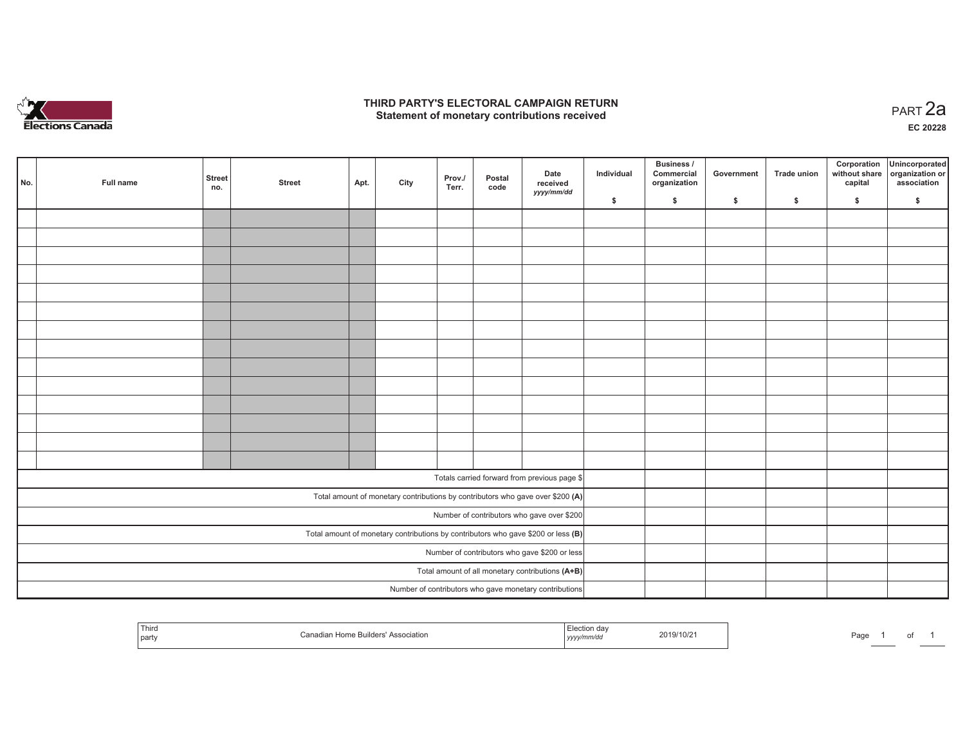

### **THIRD PARTY'S ELECTORAL CAMPAIGN RETURN HIRD PARTY'S ELECTORAL CAMPAIGN RETURN<br>Statement of monetary contributions received PART 2a**

**EC 20228**

| No.                                           | Full name | <b>Street</b><br>no. | <b>Street</b> | Apt. | City | Prov./<br>Terr. | Postal<br>code | Date<br>received<br>yyyy/mm/dd                                                      | Individual | <b>Business /</b><br>Commercial<br>organization | Government | Trade union  | Corporation<br>capital | Unincorporated<br>without share organization or<br>association |
|-----------------------------------------------|-----------|----------------------|---------------|------|------|-----------------|----------------|-------------------------------------------------------------------------------------|------------|-------------------------------------------------|------------|--------------|------------------------|----------------------------------------------------------------|
|                                               |           |                      |               |      |      |                 |                |                                                                                     | \$         | \$                                              | \$         | $\mathbf{s}$ | \$                     | \$                                                             |
|                                               |           |                      |               |      |      |                 |                |                                                                                     |            |                                                 |            |              |                        |                                                                |
|                                               |           |                      |               |      |      |                 |                |                                                                                     |            |                                                 |            |              |                        |                                                                |
|                                               |           |                      |               |      |      |                 |                |                                                                                     |            |                                                 |            |              |                        |                                                                |
|                                               |           |                      |               |      |      |                 |                |                                                                                     |            |                                                 |            |              |                        |                                                                |
|                                               |           |                      |               |      |      |                 |                |                                                                                     |            |                                                 |            |              |                        |                                                                |
|                                               |           |                      |               |      |      |                 |                |                                                                                     |            |                                                 |            |              |                        |                                                                |
|                                               |           |                      |               |      |      |                 |                |                                                                                     |            |                                                 |            |              |                        |                                                                |
|                                               |           |                      |               |      |      |                 |                |                                                                                     |            |                                                 |            |              |                        |                                                                |
|                                               |           |                      |               |      |      |                 |                |                                                                                     |            |                                                 |            |              |                        |                                                                |
|                                               |           |                      |               |      |      |                 |                |                                                                                     |            |                                                 |            |              |                        |                                                                |
|                                               |           |                      |               |      |      |                 |                |                                                                                     |            |                                                 |            |              |                        |                                                                |
|                                               |           |                      |               |      |      |                 |                |                                                                                     |            |                                                 |            |              |                        |                                                                |
|                                               |           |                      |               |      |      |                 |                |                                                                                     |            |                                                 |            |              |                        |                                                                |
|                                               |           |                      |               |      |      |                 |                |                                                                                     |            |                                                 |            |              |                        |                                                                |
|                                               |           |                      |               |      |      |                 |                |                                                                                     |            |                                                 |            |              |                        |                                                                |
|                                               |           |                      |               |      |      |                 |                | Totals carried forward from previous page \$                                        |            |                                                 |            |              |                        |                                                                |
|                                               |           |                      |               |      |      |                 |                | Total amount of monetary contributions by contributors who gave over \$200 (A)      |            |                                                 |            |              |                        |                                                                |
|                                               |           |                      |               |      |      |                 |                | Number of contributors who gave over \$200                                          |            |                                                 |            |              |                        |                                                                |
|                                               |           |                      |               |      |      |                 |                | Total amount of monetary contributions by contributors who gave \$200 or less $(B)$ |            |                                                 |            |              |                        |                                                                |
| Number of contributors who gave \$200 or less |           |                      |               |      |      |                 |                |                                                                                     |            |                                                 |            |              |                        |                                                                |
|                                               |           |                      |               |      |      |                 |                | Total amount of all monetary contributions (A+B)                                    |            |                                                 |            |              |                        |                                                                |
|                                               |           |                      |               |      |      |                 |                | Number of contributors who gave monetary contributions                              |            |                                                 |            |              |                        |                                                                |

| Third<br>l party | 1 Home Builders'<br><b>Association</b><br>Canadian | $\cdots$<br>  Election day<br>yyyy/mm/dd | 2019/10/2 | Page |  |  |  |
|------------------|----------------------------------------------------|------------------------------------------|-----------|------|--|--|--|
|------------------|----------------------------------------------------|------------------------------------------|-----------|------|--|--|--|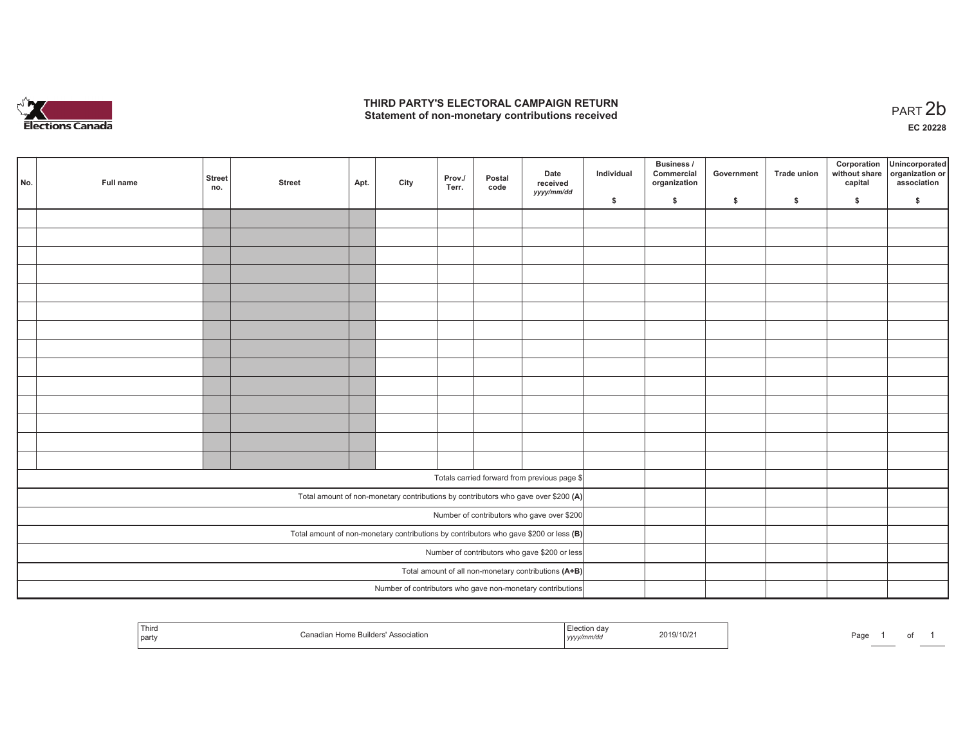

## **THIRD PARTY'S ELECTORAL CAMPAIGN RETURN**  THIRD PARTY'S ELECTORAL CAMPAIGN RETURN<br>Statement of non-monetary contributions received<br> **PART 2b**

of 1

| No.                                                                                     | Full name | <b>Street</b><br>no. | <b>Street</b> | Apt. | City | Prov./<br>Terr. | Postal<br>code | Date<br>received<br>yyyy/mm/dd                                                     | Individual | <b>Business /</b><br>Commercial<br>organization | Government   | Trade union  | Corporation<br>capital | Unincorporated<br>without share organization or<br>association |
|-----------------------------------------------------------------------------------------|-----------|----------------------|---------------|------|------|-----------------|----------------|------------------------------------------------------------------------------------|------------|-------------------------------------------------|--------------|--------------|------------------------|----------------------------------------------------------------|
|                                                                                         |           |                      |               |      |      |                 |                |                                                                                    | \$         | \$                                              | $\mathsf{s}$ | $\mathbf{s}$ | \$                     | \$                                                             |
|                                                                                         |           |                      |               |      |      |                 |                |                                                                                    |            |                                                 |              |              |                        |                                                                |
|                                                                                         |           |                      |               |      |      |                 |                |                                                                                    |            |                                                 |              |              |                        |                                                                |
|                                                                                         |           |                      |               |      |      |                 |                |                                                                                    |            |                                                 |              |              |                        |                                                                |
|                                                                                         |           |                      |               |      |      |                 |                |                                                                                    |            |                                                 |              |              |                        |                                                                |
|                                                                                         |           |                      |               |      |      |                 |                |                                                                                    |            |                                                 |              |              |                        |                                                                |
|                                                                                         |           |                      |               |      |      |                 |                |                                                                                    |            |                                                 |              |              |                        |                                                                |
|                                                                                         |           |                      |               |      |      |                 |                |                                                                                    |            |                                                 |              |              |                        |                                                                |
|                                                                                         |           |                      |               |      |      |                 |                |                                                                                    |            |                                                 |              |              |                        |                                                                |
|                                                                                         |           |                      |               |      |      |                 |                |                                                                                    |            |                                                 |              |              |                        |                                                                |
|                                                                                         |           |                      |               |      |      |                 |                |                                                                                    |            |                                                 |              |              |                        |                                                                |
|                                                                                         |           |                      |               |      |      |                 |                |                                                                                    |            |                                                 |              |              |                        |                                                                |
|                                                                                         |           |                      |               |      |      |                 |                |                                                                                    |            |                                                 |              |              |                        |                                                                |
|                                                                                         |           |                      |               |      |      |                 |                |                                                                                    |            |                                                 |              |              |                        |                                                                |
|                                                                                         |           |                      |               |      |      |                 |                |                                                                                    |            |                                                 |              |              |                        |                                                                |
|                                                                                         |           |                      |               |      |      |                 |                | Totals carried forward from previous page \$                                       |            |                                                 |              |              |                        |                                                                |
|                                                                                         |           |                      |               |      |      |                 |                |                                                                                    |            |                                                 |              |              |                        |                                                                |
|                                                                                         |           |                      |               |      |      |                 |                | Total amount of non-monetary contributions by contributors who gave over \$200 (A) |            |                                                 |              |              |                        |                                                                |
|                                                                                         |           |                      |               |      |      |                 |                | Number of contributors who gave over \$200                                         |            |                                                 |              |              |                        |                                                                |
| Total amount of non-monetary contributions by contributors who gave \$200 or less $(B)$ |           |                      |               |      |      |                 |                |                                                                                    |            |                                                 |              |              |                        |                                                                |
|                                                                                         |           |                      |               |      |      |                 |                | Number of contributors who gave \$200 or less                                      |            |                                                 |              |              |                        |                                                                |
|                                                                                         |           |                      |               |      |      |                 |                | Total amount of all non-monetary contributions (A+B)                               |            |                                                 |              |              |                        |                                                                |
|                                                                                         |           |                      |               |      |      |                 |                | Number of contributors who gave non-monetary contributions                         |            |                                                 |              |              |                        |                                                                |

| Third<br>crion da<br><b>Association</b><br>I party<br>mm/aa<br>,,,,, | 2019/10/21 | Page<br><b>Contract Contract</b> |
|----------------------------------------------------------------------|------------|----------------------------------|
|----------------------------------------------------------------------|------------|----------------------------------|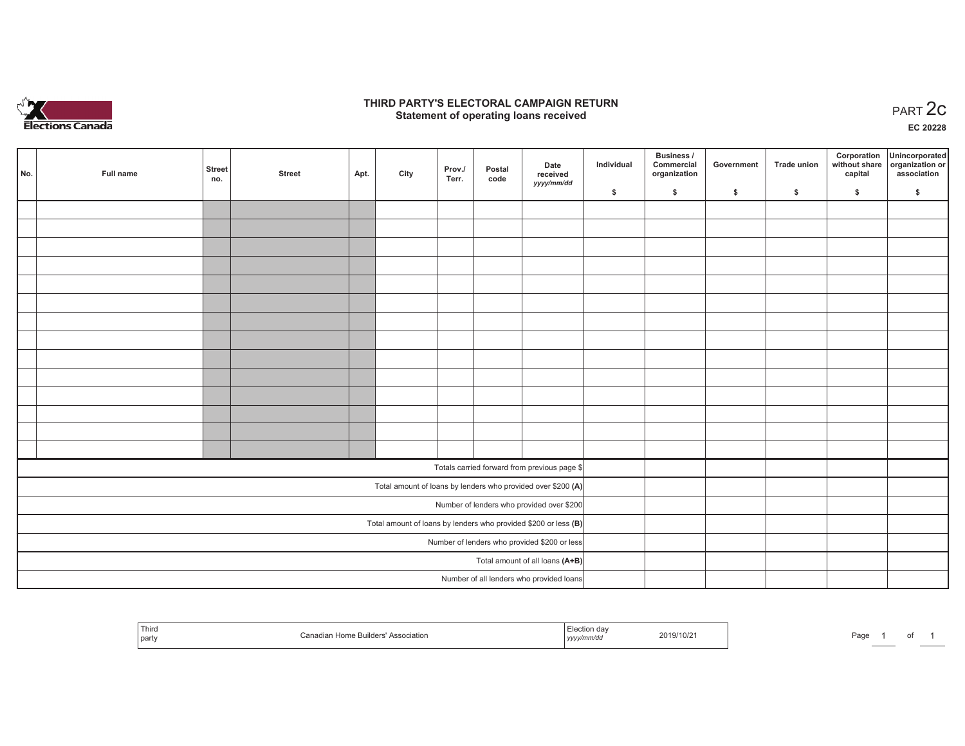

## **THIRD PARTY'S ELECTORAL CAMPAIGN RETURN STATE:** PERSON SELECTORAL CAMPAIGN RETURN<br>
Statement of operating loans received

**EC 20228**

| No. | Full name | <b>Street</b><br>no. | <b>Street</b> | Apt. | City | Prov./<br>Terr. | Postal<br>code | Date<br>received                                                | Individual | Business /<br>Commercial<br>organization | Government | <b>Trade union</b> | Corporation<br>capital | Unincorporated<br>without share organization or<br>association |
|-----|-----------|----------------------|---------------|------|------|-----------------|----------------|-----------------------------------------------------------------|------------|------------------------------------------|------------|--------------------|------------------------|----------------------------------------------------------------|
|     |           |                      |               |      |      |                 |                | yyyy/mm/dd                                                      | \$         | \$                                       | \$         | \$                 | \$                     | \$                                                             |
|     |           |                      |               |      |      |                 |                |                                                                 |            |                                          |            |                    |                        |                                                                |
|     |           |                      |               |      |      |                 |                |                                                                 |            |                                          |            |                    |                        |                                                                |
|     |           |                      |               |      |      |                 |                |                                                                 |            |                                          |            |                    |                        |                                                                |
|     |           |                      |               |      |      |                 |                |                                                                 |            |                                          |            |                    |                        |                                                                |
|     |           |                      |               |      |      |                 |                |                                                                 |            |                                          |            |                    |                        |                                                                |
|     |           |                      |               |      |      |                 |                |                                                                 |            |                                          |            |                    |                        |                                                                |
|     |           |                      |               |      |      |                 |                |                                                                 |            |                                          |            |                    |                        |                                                                |
|     |           |                      |               |      |      |                 |                |                                                                 |            |                                          |            |                    |                        |                                                                |
|     |           |                      |               |      |      |                 |                |                                                                 |            |                                          |            |                    |                        |                                                                |
|     |           |                      |               |      |      |                 |                |                                                                 |            |                                          |            |                    |                        |                                                                |
|     |           |                      |               |      |      |                 |                |                                                                 |            |                                          |            |                    |                        |                                                                |
|     |           |                      |               |      |      |                 |                |                                                                 |            |                                          |            |                    |                        |                                                                |
|     |           |                      |               |      |      |                 |                |                                                                 |            |                                          |            |                    |                        |                                                                |
|     |           |                      |               |      |      |                 |                |                                                                 |            |                                          |            |                    |                        |                                                                |
|     |           |                      |               |      |      |                 |                | Totals carried forward from previous page \$                    |            |                                          |            |                    |                        |                                                                |
|     |           |                      |               |      |      |                 |                | Total amount of loans by lenders who provided over \$200 (A)    |            |                                          |            |                    |                        |                                                                |
|     |           |                      |               |      |      |                 |                | Number of lenders who provided over \$200                       |            |                                          |            |                    |                        |                                                                |
|     |           |                      |               |      |      |                 |                | Total amount of loans by lenders who provided \$200 or less (B) |            |                                          |            |                    |                        |                                                                |
|     |           |                      |               |      |      |                 |                | Number of lenders who provided \$200 or less                    |            |                                          |            |                    |                        |                                                                |
|     |           |                      |               |      |      |                 |                | Total amount of all loans (A+B)                                 |            |                                          |            |                    |                        |                                                                |
|     |           |                      |               |      |      |                 |                | Number of all lenders who provided loans                        |            |                                          |            |                    |                        |                                                                |

| $-1$<br>' Third<br>  party | ne Builders'<br>' Association<br>aon | Flection<br>ua<br>yyyymmvaa | 2019/10/2 | $P$ aqe |  |  |  |
|----------------------------|--------------------------------------|-----------------------------|-----------|---------|--|--|--|
|----------------------------|--------------------------------------|-----------------------------|-----------|---------|--|--|--|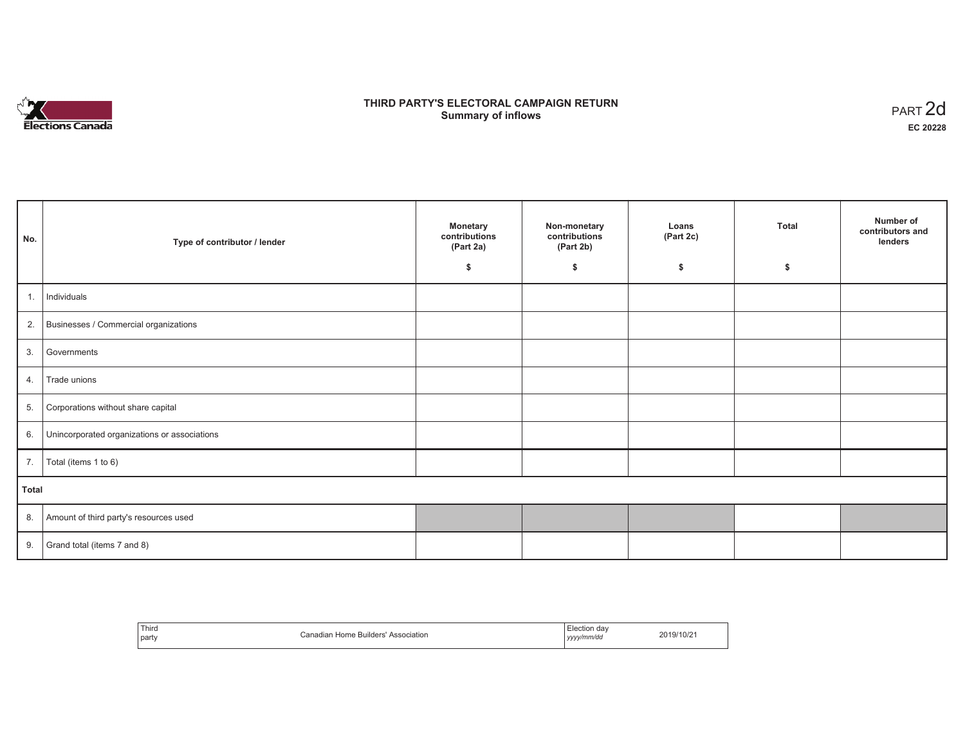

## **THIRD PARTY'S ELECTORAL CAMPAIGN RETURN Summary of inflows** PART 2d

| No.   | Type of contributor / lender                    | Monetary<br>contributions<br>(Part 2a)<br>\$ | Non-monetary<br>contributions<br>(Part 2b)<br>\$ | Loans<br>(Part 2c)<br>\$ | <b>Total</b><br>\$ | Number of<br>contributors and<br>lenders |
|-------|-------------------------------------------------|----------------------------------------------|--------------------------------------------------|--------------------------|--------------------|------------------------------------------|
|       |                                                 |                                              |                                                  |                          |                    |                                          |
| 1.    | Individuals                                     |                                              |                                                  |                          |                    |                                          |
|       | 2. Businesses / Commercial organizations        |                                              |                                                  |                          |                    |                                          |
|       | 3. Governments                                  |                                              |                                                  |                          |                    |                                          |
| 4.    | Trade unions                                    |                                              |                                                  |                          |                    |                                          |
| 5.    | Corporations without share capital              |                                              |                                                  |                          |                    |                                          |
|       | 6. Unincorporated organizations or associations |                                              |                                                  |                          |                    |                                          |
| 7.    | Total (items 1 to 6)                            |                                              |                                                  |                          |                    |                                          |
| Total |                                                 |                                              |                                                  |                          |                    |                                          |
|       | 8. Amount of third party's resources used       |                                              |                                                  |                          |                    |                                          |
|       | 9. Grand total (items $7$ and $8$ )             |                                              |                                                  |                          |                    |                                          |

| Third<br>party | Home Builders' Association<br>$'$ anadian<br>Canadian | :lection dav<br>yyyy/mm/dd | 2019/10/21 |
|----------------|-------------------------------------------------------|----------------------------|------------|
|----------------|-------------------------------------------------------|----------------------------|------------|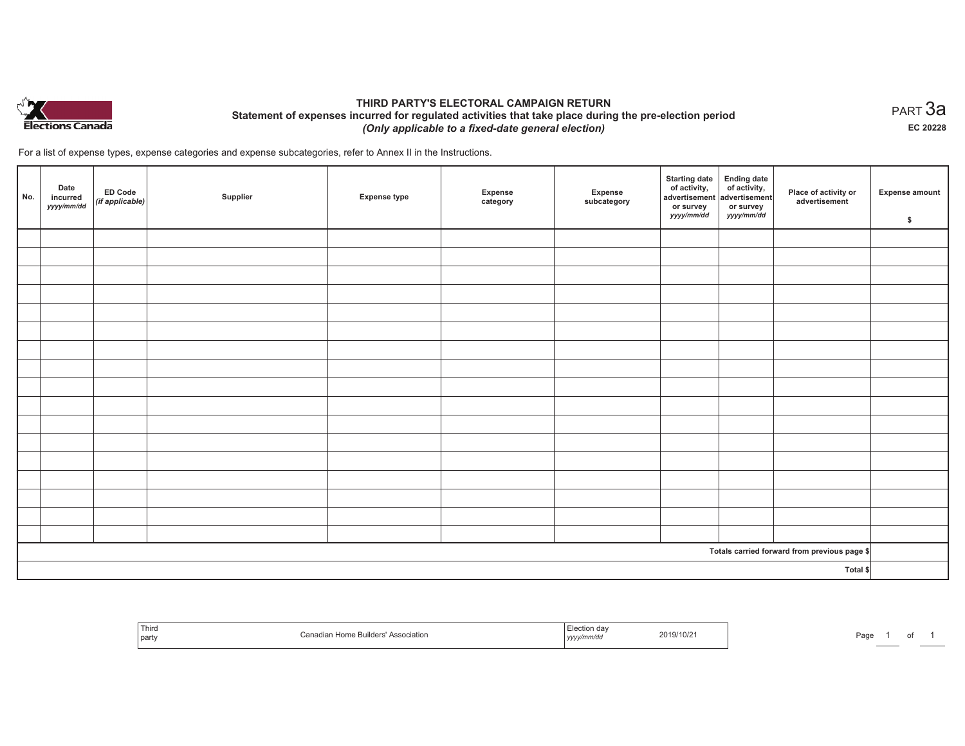

## **THIRD PARTY'S ELECTORAL CAMPAIGN RETURN Statement of expenses incurred for regulated activities that take place during the pre-election period**  *(Only applicable to a fixed-date general election)*

For a list of expense types, expense categories and expense subcategories, refer to Annex II in the Instructions.

| No. | Date<br>incurred<br>yyyy/mm/dd | ED Code<br>(if applicable) | Supplier | <b>Expense type</b> | Expense<br>category | Expense<br>subcategory | Starting date<br>of activity,<br>advertisement<br>or survey<br>yyyy/mm/dd | Ending date<br>of activity,<br>advertisement<br>or survey<br>yyyy/mm/dd | Place of activity or<br>advertisement        | Expense amount<br>\$ |
|-----|--------------------------------|----------------------------|----------|---------------------|---------------------|------------------------|---------------------------------------------------------------------------|-------------------------------------------------------------------------|----------------------------------------------|----------------------|
|     |                                |                            |          |                     |                     |                        |                                                                           |                                                                         |                                              |                      |
|     |                                |                            |          |                     |                     |                        |                                                                           |                                                                         |                                              |                      |
|     |                                |                            |          |                     |                     |                        |                                                                           |                                                                         |                                              |                      |
|     |                                |                            |          |                     |                     |                        |                                                                           |                                                                         |                                              |                      |
|     |                                |                            |          |                     |                     |                        |                                                                           |                                                                         |                                              |                      |
|     |                                |                            |          |                     |                     |                        |                                                                           |                                                                         |                                              |                      |
|     |                                |                            |          |                     |                     |                        |                                                                           |                                                                         |                                              |                      |
|     |                                |                            |          |                     |                     |                        |                                                                           |                                                                         |                                              |                      |
|     |                                |                            |          |                     |                     |                        |                                                                           |                                                                         |                                              |                      |
|     |                                |                            |          |                     |                     |                        |                                                                           |                                                                         |                                              |                      |
|     |                                |                            |          |                     |                     |                        |                                                                           |                                                                         |                                              |                      |
|     |                                |                            |          |                     |                     |                        |                                                                           |                                                                         |                                              |                      |
|     |                                |                            |          |                     |                     |                        |                                                                           |                                                                         |                                              |                      |
|     |                                |                            |          |                     |                     |                        |                                                                           |                                                                         |                                              |                      |
|     |                                |                            |          |                     |                     |                        |                                                                           |                                                                         |                                              |                      |
|     |                                |                            |          |                     |                     |                        |                                                                           |                                                                         |                                              |                      |
|     |                                |                            |          |                     |                     |                        |                                                                           |                                                                         |                                              |                      |
|     |                                |                            |          |                     |                     |                        |                                                                           |                                                                         | Totals carried forward from previous page \$ |                      |
|     | Total \$                       |                            |          |                     |                     |                        |                                                                           |                                                                         |                                              |                      |

| i nifo<br>part | ciation<br>вш<br>wanaun | ,,,,, | 1/10/2<br>. | ⊶הר<br>'du |  |  |
|----------------|-------------------------|-------|-------------|------------|--|--|
|----------------|-------------------------|-------|-------------|------------|--|--|

 $_{\sf PART}$ 3a **EC 20228**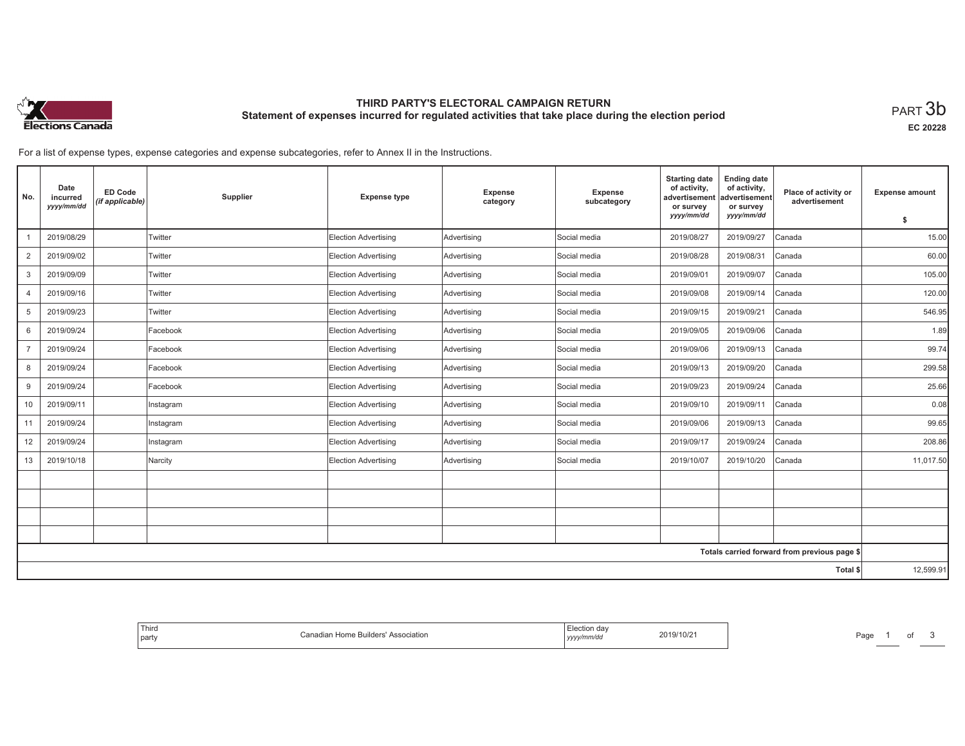

# **THIRD PARTY'S ELECTORAL CAMPAIGN RETURN Statement of expenses incurred for regulated activities that take place during the election period**<br>PART  $3\mathsf{b}$

**EC 20228**

For a list of expense types, expense categories and expense subcategories, refer to Annex II in the Instructions.

| No.            | Date<br>incurred<br>yyyy/mm/dd | <b>ED Code</b><br>(if applicable) | Supplier  | <b>Expense type</b>         | <b>Expense</b><br>category | <b>Expense</b><br>subcategory | <b>Starting date</b><br>of activity,<br>advertisement<br>or survey<br>yyyy/mm/dd | <b>Ending date</b><br>of activity,<br>advertisement<br>or survey<br>yyyy/mm/dd | Place of activity or<br>advertisement        | <b>Expense amount</b><br>\$ |
|----------------|--------------------------------|-----------------------------------|-----------|-----------------------------|----------------------------|-------------------------------|----------------------------------------------------------------------------------|--------------------------------------------------------------------------------|----------------------------------------------|-----------------------------|
|                | 2019/08/29                     |                                   | Twitter   | <b>Election Advertising</b> | Advertising                | Social media                  | 2019/08/27                                                                       | 2019/09/27                                                                     | Canada                                       | 15.00                       |
| 2              | 2019/09/02                     |                                   | Twitter   | <b>Election Advertising</b> | Advertising                | Social media                  | 2019/08/28                                                                       | 2019/08/31                                                                     | Canada                                       | 60.00                       |
| 3              | 2019/09/09                     |                                   | Twitter   | <b>Election Advertising</b> | Advertising                | Social media                  | 2019/09/01                                                                       | 2019/09/07                                                                     | Canada                                       | 105.00                      |
| $\overline{4}$ | 2019/09/16                     |                                   | Twitter   | <b>Election Advertising</b> | Advertising                | Social media                  | 2019/09/08                                                                       | 2019/09/14                                                                     | Canada                                       | 120.00                      |
| 5              | 2019/09/23                     |                                   | Twitter   | <b>Election Advertising</b> | Advertising                | Social media                  | 2019/09/15                                                                       | 2019/09/21                                                                     | Canada                                       | 546.95                      |
| 6              | 2019/09/24                     |                                   | Facebook  | <b>Election Advertising</b> | Advertising                | Social media                  | 2019/09/05                                                                       | 2019/09/06                                                                     | Canada                                       | 1.89                        |
| $\overline{7}$ | 2019/09/24                     |                                   | Facebook  | <b>Election Advertising</b> | Advertising                | Social media                  | 2019/09/06                                                                       | 2019/09/13                                                                     | Canada                                       | 99.74                       |
| 8              | 2019/09/24                     |                                   | Facebook  | <b>Election Advertising</b> | Advertising                | Social media                  | 2019/09/13                                                                       | 2019/09/20                                                                     | Canada                                       | 299.58                      |
| 9              | 2019/09/24                     |                                   | Facebook  | Election Advertising        | Advertising                | Social media                  | 2019/09/23                                                                       | 2019/09/24                                                                     | Canada                                       | 25.66                       |
| 10             | 2019/09/11                     |                                   | Instagram | <b>Election Advertising</b> | Advertising                | Social media                  | 2019/09/10                                                                       | 2019/09/11                                                                     | Canada                                       | 0.08                        |
| 11             | 2019/09/24                     |                                   | Instagram | <b>Election Advertising</b> | Advertising                | Social media                  | 2019/09/06                                                                       | 2019/09/13                                                                     | Canada                                       | 99.65                       |
| 12             | 2019/09/24                     |                                   | Instagram | <b>Election Advertising</b> | Advertising                | Social media                  | 2019/09/17                                                                       | 2019/09/24                                                                     | Canada                                       | 208.86                      |
| 13             | 2019/10/18                     |                                   | Narcity   | <b>Election Advertising</b> | Advertising                | Social media                  | 2019/10/07                                                                       | 2019/10/20                                                                     | Canada                                       | 11,017.50                   |
|                |                                |                                   |           |                             |                            |                               |                                                                                  |                                                                                |                                              |                             |
|                |                                |                                   |           |                             |                            |                               |                                                                                  |                                                                                |                                              |                             |
|                |                                |                                   |           |                             |                            |                               |                                                                                  |                                                                                |                                              |                             |
|                |                                |                                   |           |                             |                            |                               |                                                                                  |                                                                                |                                              |                             |
|                |                                |                                   |           |                             |                            |                               |                                                                                  |                                                                                | Totals carried forward from previous page \$ |                             |
|                | Total \$                       |                                   |           |                             |                            |                               |                                                                                  |                                                                                |                                              | 12,599.91                   |

| ection dav<br>110/2<br>2019/<br>yyyy/mm/da | Third<br>Canadian Home Builders'<br>' Association<br>party |
|--------------------------------------------|------------------------------------------------------------|
|--------------------------------------------|------------------------------------------------------------|

Page 1 of 3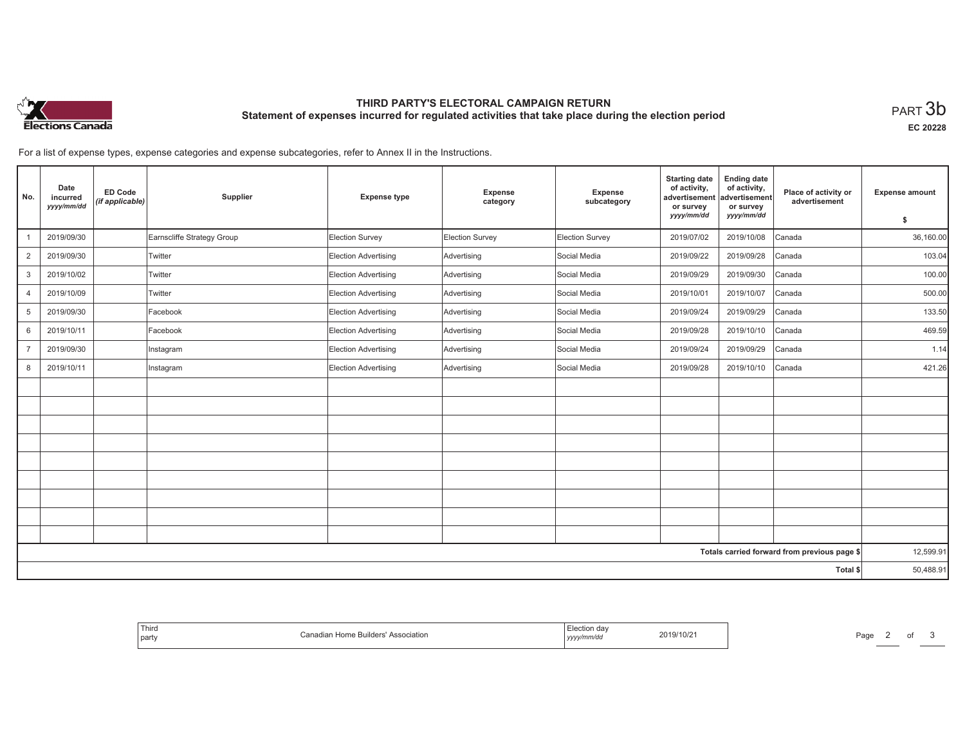

# **THIRD PARTY'S ELECTORAL CAMPAIGN RETURN Statement of expenses incurred for regulated activities that take place during the election period**<br>PART  $3\mathsf{b}$

**EC 20228**

For a list of expense types, expense categories and expense subcategories, refer to Annex II in the Instructions.

| No.            | Date<br>incurred<br>yyyy/mm/dd | <b>ED Code</b><br>(if applicable) | Supplier                   | <b>Expense type</b>  | Expense<br>category | Expense<br>subcategory | <b>Starting date</b><br>of activity,<br>advertisement<br>or survey<br>yyyy/mm/dd | <b>Ending date</b><br>of activity,<br>advertisement<br>or survey<br>yyyy/mm/dd | Place of activity or<br>advertisement        | <b>Expense amount</b> |
|----------------|--------------------------------|-----------------------------------|----------------------------|----------------------|---------------------|------------------------|----------------------------------------------------------------------------------|--------------------------------------------------------------------------------|----------------------------------------------|-----------------------|
|                |                                |                                   |                            |                      |                     |                        |                                                                                  |                                                                                |                                              | \$                    |
| $\mathbf{1}$   | 2019/09/30                     |                                   | Earnscliffe Strategy Group | Election Survey      | Election Survey     | Election Survey        | 2019/07/02                                                                       | 2019/10/08                                                                     | Canada                                       | 36,160.00             |
| 2              | 2019/09/30                     |                                   | Twitter                    | Election Advertising | Advertising         | Social Media           | 2019/09/22                                                                       | 2019/09/28                                                                     | Canada                                       | 103.04                |
| 3              | 2019/10/02                     |                                   | Twitter                    | Election Advertising | Advertising         | Social Media           | 2019/09/29                                                                       | 2019/09/30                                                                     | Canada                                       | 100.00                |
| $\overline{4}$ | 2019/10/09                     |                                   | Twitter                    | Election Advertising | Advertising         | Social Media           | 2019/10/01                                                                       | 2019/10/07                                                                     | Canada                                       | 500.00                |
| 5              | 2019/09/30                     |                                   | Facebook                   | Election Advertising | Advertising         | Social Media           | 2019/09/24                                                                       | 2019/09/29                                                                     | Canada                                       | 133.50                |
| 6              | 2019/10/11                     |                                   | Facebook                   | Election Advertising | Advertising         | Social Media           | 2019/09/28                                                                       | 2019/10/10                                                                     | Canada                                       | 469.59                |
| $\overline{7}$ | 2019/09/30                     |                                   | Instagram                  | Election Advertising | Advertising         | Social Media           | 2019/09/24                                                                       | 2019/09/29                                                                     | Canada                                       | 1.14                  |
| 8              | 2019/10/11                     |                                   | Instagram                  | Election Advertising | Advertising         | Social Media           | 2019/09/28                                                                       | 2019/10/10                                                                     | Canada                                       | 421.26                |
|                |                                |                                   |                            |                      |                     |                        |                                                                                  |                                                                                |                                              |                       |
|                |                                |                                   |                            |                      |                     |                        |                                                                                  |                                                                                |                                              |                       |
|                |                                |                                   |                            |                      |                     |                        |                                                                                  |                                                                                |                                              |                       |
|                |                                |                                   |                            |                      |                     |                        |                                                                                  |                                                                                |                                              |                       |
|                |                                |                                   |                            |                      |                     |                        |                                                                                  |                                                                                |                                              |                       |
|                |                                |                                   |                            |                      |                     |                        |                                                                                  |                                                                                |                                              |                       |
|                |                                |                                   |                            |                      |                     |                        |                                                                                  |                                                                                |                                              |                       |
|                |                                |                                   |                            |                      |                     |                        |                                                                                  |                                                                                |                                              |                       |
|                |                                |                                   |                            |                      |                     |                        |                                                                                  |                                                                                |                                              |                       |
|                |                                |                                   |                            |                      |                     |                        |                                                                                  |                                                                                | Totals carried forward from previous page \$ | 12,599.91             |
|                |                                |                                   |                            |                      |                     |                        |                                                                                  |                                                                                | Total \$                                     | 50,488.91             |
|                |                                |                                   |                            |                      |                     |                        |                                                                                  |                                                                                |                                              |                       |

| Election day<br>2019/10/21<br>Canadian Home Builders' Association<br>yyyy/mm/dd |
|---------------------------------------------------------------------------------|
|---------------------------------------------------------------------------------|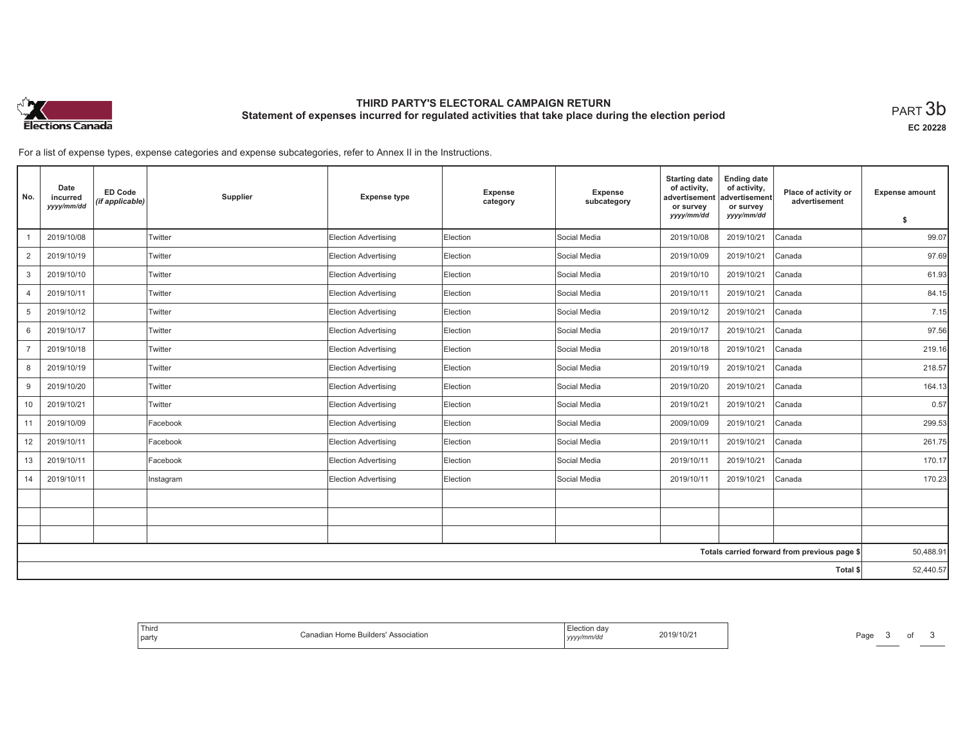

# **THIRD PARTY'S ELECTORAL CAMPAIGN RETURN Statement of expenses incurred for regulated activities that take place during the election period**<br>PART  $3\mathsf{b}$

**EC 20228**

For a list of expense types, expense categories and expense subcategories, refer to Annex II in the Instructions.

| No.            | Date<br>incurred<br>yyyy/mm/dd | <b>ED Code</b><br>(if applicable) | Supplier  | <b>Expense type</b>         | Expense<br>category | Expense<br>subcategory | <b>Starting date</b><br>of activity.<br>advertisement<br>or survey | <b>Ending date</b><br>of activity,<br>advertisement<br>or survey | Place of activity or<br>advertisement        | <b>Expense amount</b> |
|----------------|--------------------------------|-----------------------------------|-----------|-----------------------------|---------------------|------------------------|--------------------------------------------------------------------|------------------------------------------------------------------|----------------------------------------------|-----------------------|
|                |                                |                                   |           |                             |                     |                        | yyyy/mm/dd                                                         | yyyy/mm/dd                                                       |                                              | \$                    |
|                | 2019/10/08                     |                                   | Twitter   | Election Advertising        | Election            | Social Media           | 2019/10/08                                                         | 2019/10/21                                                       | Canada                                       | 99.07                 |
| 2              | 2019/10/19                     |                                   | Twitter   | <b>Election Advertising</b> | Election            | Social Media           | 2019/10/09                                                         | 2019/10/21                                                       | Canada                                       | 97.69                 |
| 3              | 2019/10/10                     |                                   | Twitter   | Election Advertising        | Election            | Social Media           | 2019/10/10                                                         | 2019/10/21                                                       | Canada                                       | 61.93                 |
| $\overline{4}$ | 2019/10/11                     |                                   | Twitter   | <b>Election Advertising</b> | Election            | Social Media           | 2019/10/11                                                         | 2019/10/21                                                       | Canada                                       | 84.15                 |
| 5              | 2019/10/12                     |                                   | Twitter   | <b>Election Advertising</b> | Election            | Social Media           | 2019/10/12                                                         | 2019/10/21                                                       | Canada                                       | 7.15                  |
| 6              | 2019/10/17                     |                                   | Twitter   | Election Advertising        | Election            | Social Media           | 2019/10/17                                                         | 2019/10/21                                                       | Canada                                       | 97.56                 |
| $\overline{7}$ | 2019/10/18                     |                                   | Twitter   | <b>Election Advertising</b> | Election            | Social Media           | 2019/10/18                                                         | 2019/10/21                                                       | Canada                                       | 219.16                |
| 8              | 2019/10/19                     |                                   | Twitter   | <b>Election Advertising</b> | Election            | Social Media           | 2019/10/19                                                         | 2019/10/21                                                       | Canada                                       | 218.57                |
| 9              | 2019/10/20                     |                                   | Twitter   | Election Advertising        | Election            | Social Media           | 2019/10/20                                                         | 2019/10/21                                                       | Canada                                       | 164.13                |
| 10             | 2019/10/21                     |                                   | Twitter   | Election Advertising        | Election            | Social Media           | 2019/10/21                                                         | 2019/10/21                                                       | Canada                                       | 0.57                  |
| 11             | 2019/10/09                     |                                   | Facebook  | Election Advertising        | Election            | Social Media           | 2009/10/09                                                         | 2019/10/21                                                       | Canada                                       | 299.53                |
| 12             | 2019/10/11                     |                                   | Facebook  | Election Advertising        | Election            | Social Media           | 2019/10/11                                                         | 2019/10/21                                                       | Canada                                       | 261.75                |
| 13             | 2019/10/11                     |                                   | Facebook  | <b>Election Advertising</b> | Election            | Social Media           | 2019/10/11                                                         | 2019/10/21                                                       | Canada                                       | 170.17                |
| 14             | 2019/10/11                     |                                   | Instagram | <b>Election Advertising</b> | Election            | Social Media           | 2019/10/11                                                         | 2019/10/21                                                       | Canada                                       | 170.23                |
|                |                                |                                   |           |                             |                     |                        |                                                                    |                                                                  |                                              |                       |
|                |                                |                                   |           |                             |                     |                        |                                                                    |                                                                  |                                              |                       |
|                |                                |                                   |           |                             |                     |                        |                                                                    |                                                                  |                                              |                       |
|                |                                |                                   |           |                             |                     |                        |                                                                    |                                                                  | Totals carried forward from previous page \$ | 50,488.91             |
|                | Total \$                       |                                   |           |                             |                     |                        |                                                                    |                                                                  |                                              |                       |

| tion<br>ULZ<br>. | J <sub>II</sub><br>∴an<br>าเลtion |
|------------------|-----------------------------------|
|------------------|-----------------------------------|